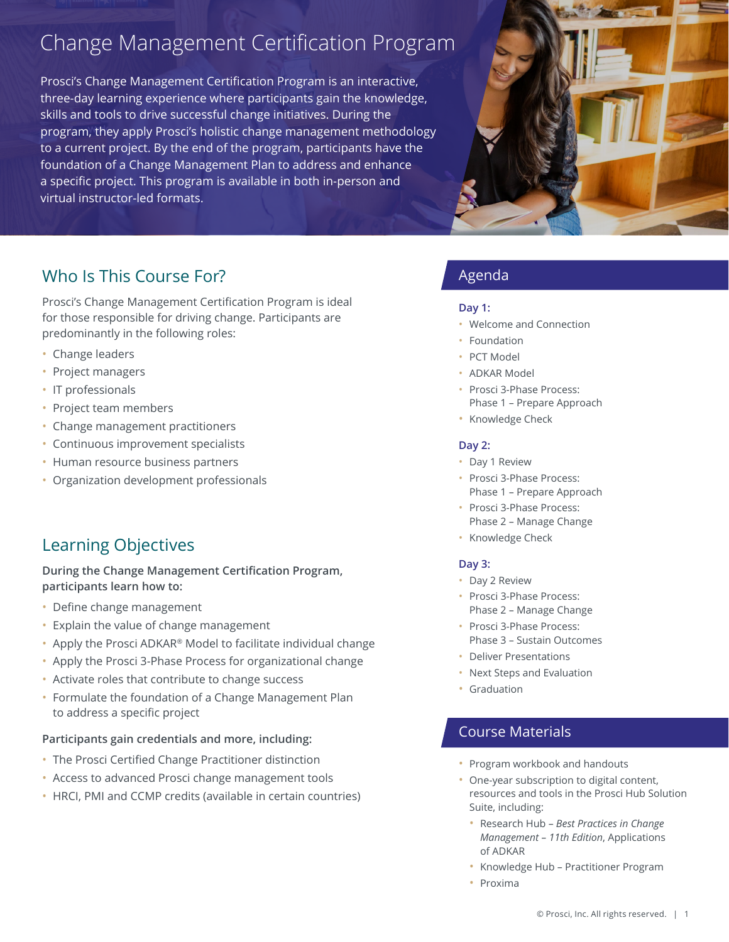# Change Management Certification Program

Prosci's Change Management Certification Program is an interactive, three-day learning experience where participants gain the knowledge, skills and tools to drive successful change initiatives. During the program, they apply Prosci's holistic change management methodology to a current project. By the end of the program, participants have the foundation of a Change Management Plan to address and enhance a specific project. This program is available in both in-person and virtual instructor-led formats.



# Who Is This Course For?

Prosci's Change Management Certification Program is ideal for those responsible for driving change. Participants are predominantly in the following roles:

- Change leaders
- Project managers
- IT professionals
- Project team members
- Change management practitioners
- Continuous improvement specialists
- Human resource business partners
- Organization development professionals

# Learning Objectives

**During the Change Management Certification Program,** participants learn how to:

- Define change management
- Explain the value of change management
- Apply the Prosci ADKAR<sup>®</sup> Model to facilitate individual change
- Apply the Prosci 3-Phase Process for organizational change
- Activate roles that contribute to change success
- Formulate the foundation of a Change Management Plan to address a specific project

### Participants gain credentials and more, including:

- The Prosci Certified Change Practitioner distinction
- Access to advanced Prosci change management tools
- HRCI, PMI and CCMP credits (available in certain countries)

### Agenda

#### **1: Day**

- Welcome and Connection
- Foundation
- PCT Model
- ADKAR Model
- · Prosci 3-Phase Process: Phase 1 - Prepare Approach
- Knowledge Check

#### **2: Day**

- Day 1 Review
- · Prosci 3-Phase Process: Phase 1 - Prepare Approach
- · Prosci 3-Phase Process: Phase 2 - Manage Change
- Knowledge Check

#### **3: Day**

- Day 2 Review
- · Prosci 3-Phase Process: Phase 2 - Manage Change
- · Prosci 3-Phase Process: Phase 3 - Sustain Outcomes
- Deliver Presentations
- Next Steps and Evaluation
- Graduation

### **Course Materials**

- Program workbook and handouts
- One-year subscription to digital content, resources and tools in the Prosci Hub Solution Suite, including:
	- **·** Research Hub Best Practices in Change *Management - 11th Edition, Applications* of ADKAR
	- Knowledge Hub Practitioner Program
	- Proxima